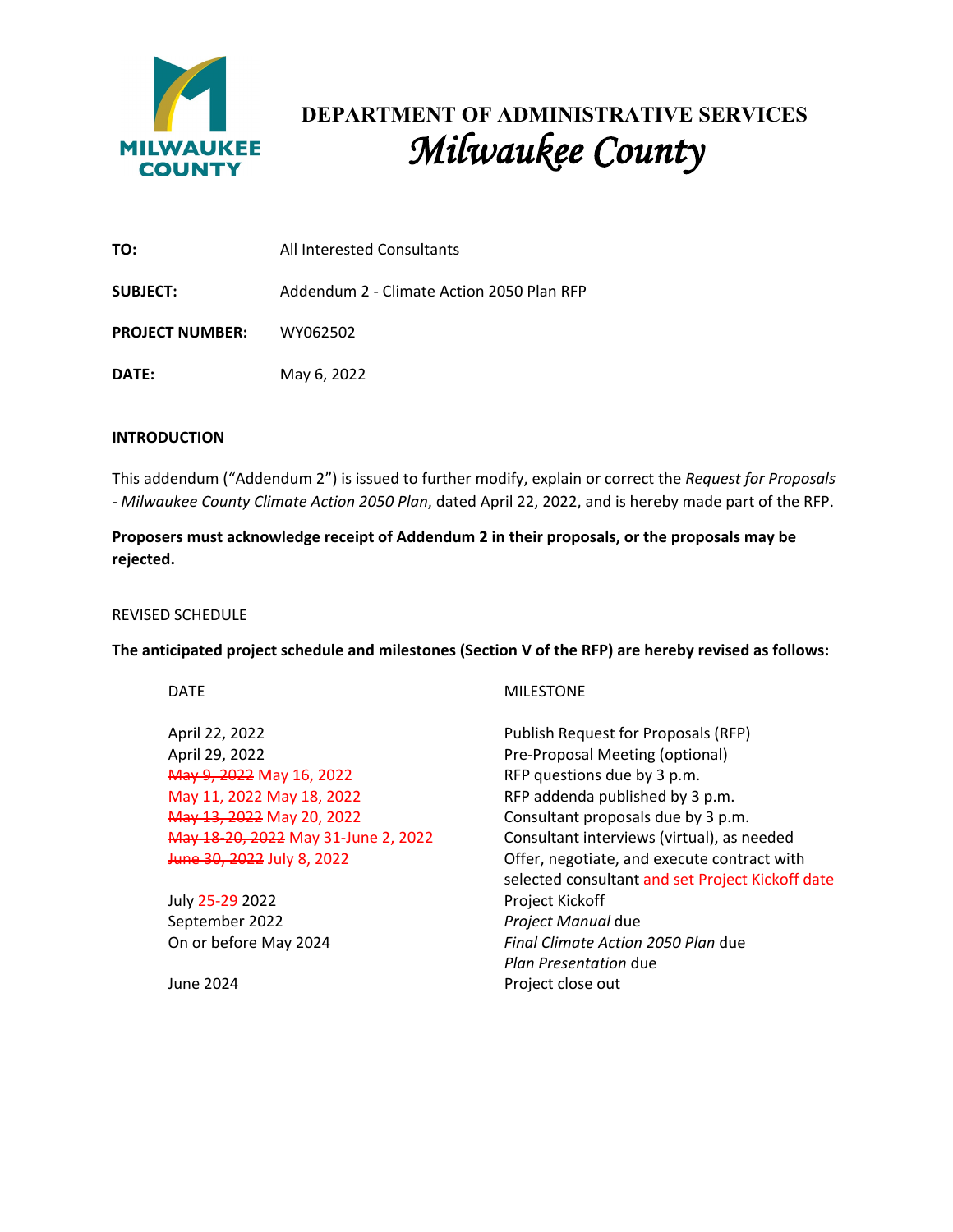

## **DEPARTMENT OF ADMINISTRATIVE SERVICES** *Milwaukee County*

| TO:                             | All Interested Consultants                |  |
|---------------------------------|-------------------------------------------|--|
| <b>SUBJECT:</b>                 | Addendum 2 - Climate Action 2050 Plan RFP |  |
| <b>PROJECT NUMBER:</b> WY062502 |                                           |  |
| DATE:                           | May 6, 2022                               |  |

## **INTRODUCTION**

This addendum ("Addendum 2") is issued to further modify, explain or correct the *Request for Proposals - Milwaukee County Climate Action 2050 Plan*, dated April 22, 2022, and is hereby made part of the RFP.

**Proposers must acknowledge receipt of Addendum 2 in their proposals, or the proposals may be rejected.**

## REVISED SCHEDULE

**The anticipated project schedule and milestones (Section V of the RFP) are hereby revised as follows:**

| DAI |  |
|-----|--|
|     |  |

April 29, 2022 **Pre-Proposal Meeting (optional) May 9, 2022** May 16, 2022 RFP questions due by 3 p.m. May 11, 2022 May 18, 2022 RFP addenda published by 3 p.m. May 13, 2022 May 20, 2022 Consultant proposals due by 3 p.m.

July 25-29 2022 **Project Kickoff** September 2022 *Project Manual* due

## **MILESTONE**

April 22, 2022 **Publish Request for Proposals (RFP)** May 18-20, 2022 May 31-June 2, 2022 Consultant interviews (virtual), as needed June 30, 2022 July 8, 2022 **Demanue 20, 2012** Offer, negotiate, and execute contract with selected consultant and set Project Kickoff date On or before May 2024 *Final Climate Action 2050 Plan* due *Plan Presentation* due June 2024 **Project close out**